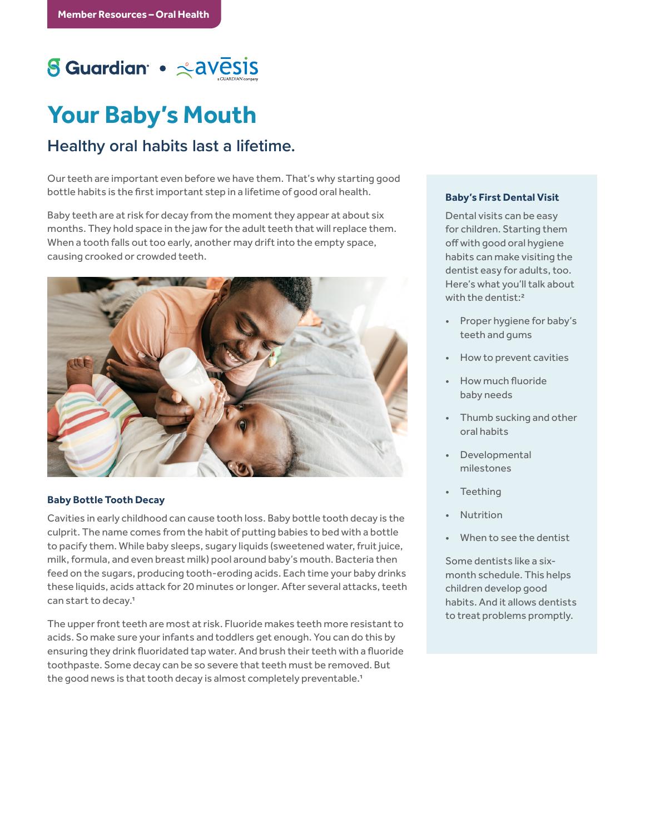# S Guardian • <avesis

## **Your Baby's Mouth**

### **Healthy oral habits last a lifetime.**

Our teeth are important even before we have them. That's why starting good bottle habits is the first important step in a lifetime of good oral health.

Baby teeth are at risk for decay from the moment they appear at about six months. They hold space in the jaw for the adult teeth that will replace them. When a tooth falls out too early, another may drift into the empty space, causing crooked or crowded teeth.



#### **Baby Bottle Tooth Decay**

Cavities in early childhood can cause tooth loss. Baby bottle tooth decay is the culprit. The name comes from the habit of putting babies to bed with a bottle to pacify them. While baby sleeps, sugary liquids (sweetened water, fruit juice, milk, formula, and even breast milk) pool around baby's mouth. Bacteria then feed on the sugars, producing tooth-eroding acids. Each time your baby drinks these liquids, acids attack for 20 minutes or longer. After several attacks, teeth can start to decay.1

The upper front teeth are most at risk. Fluoride makes teeth more resistant to acids. So make sure your infants and toddlers get enough. You can do this by ensuring they drink fluoridated tap water. And brush their teeth with a fluoride toothpaste. Some decay can be so severe that teeth must be removed. But the good news is that tooth decay is almost completely preventable.<sup>1</sup>

#### **Baby's First Dental Visit**

Dental visits can be easy for children. Starting them off with good oral hygiene habits can make visiting the dentist easy for adults, too. Here's what you'll talk about with the dentist:<sup>2</sup>

- Proper hygiene for baby's teeth and gums
- How to prevent cavities
- How much fluoride baby needs
- Thumb sucking and other oral habits
- Developmental milestones
- **Teething**
- **Nutrition**
- When to see the dentist

Some dentists like a sixmonth schedule. This helps children develop good habits. And it allows dentists to treat problems promptly.